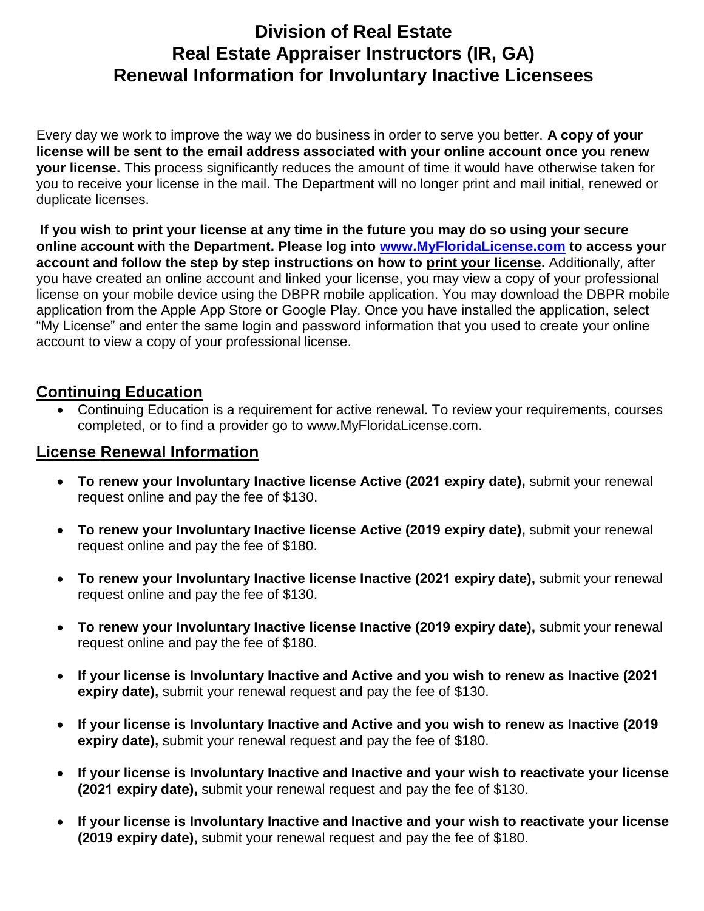## **Division of Real Estate Real Estate Appraiser Instructors (IR, GA) Renewal Information for Involuntary Inactive Licensees**

Every day we work to improve the way we do business in order to serve you better. **A copy of your license will be sent to the email address associated with your online account once you renew your license.** This process significantly reduces the amount of time it would have otherwise taken for you to receive your license in the mail. The Department will no longer print and mail initial, renewed or duplicate licenses.

 **If you wish to print your license at any time in the future you may do so using your secure online account with the Department. Please log into [www.MyFloridaLicense.com](http://www.myfloridalicense.com/) to access your account and follow the step by step instructions on how to print your license.** Additionally, after you have created an online account and linked your license, you may view a copy of your professional license on your mobile device using the DBPR mobile application. You may download the DBPR mobile application from the Apple App Store or Google Play. Once you have installed the application, select "My License" and enter the same login and password information that you used to create your online account to view a copy of your professional license.

## **Continuing Education**

 Continuing Education is a requirement for active renewal. To review your requirements, courses completed, or to find a provider go to www.MyFloridaLicense.com.

## **License Renewal Information**

- **To renew your Involuntary Inactive license Active (2021 expiry date),** submit your renewal request online and pay the fee of \$130.
- **To renew your Involuntary Inactive license Active (2019 expiry date),** submit your renewal request online and pay the fee of \$180.
- **To renew your Involuntary Inactive license Inactive (2021 expiry date),** submit your renewal request online and pay the fee of \$130.
- **To renew your Involuntary Inactive license Inactive (2019 expiry date),** submit your renewal request online and pay the fee of \$180.
- **If your license is Involuntary Inactive and Active and you wish to renew as Inactive (2021 expiry date),** submit your renewal request and pay the fee of \$130.
- **If your license is Involuntary Inactive and Active and you wish to renew as Inactive (2019 expiry date),** submit your renewal request and pay the fee of \$180.
- **If your license is Involuntary Inactive and Inactive and your wish to reactivate your license (2021 expiry date),** submit your renewal request and pay the fee of \$130.
- **If your license is Involuntary Inactive and Inactive and your wish to reactivate your license (2019 expiry date),** submit your renewal request and pay the fee of \$180.